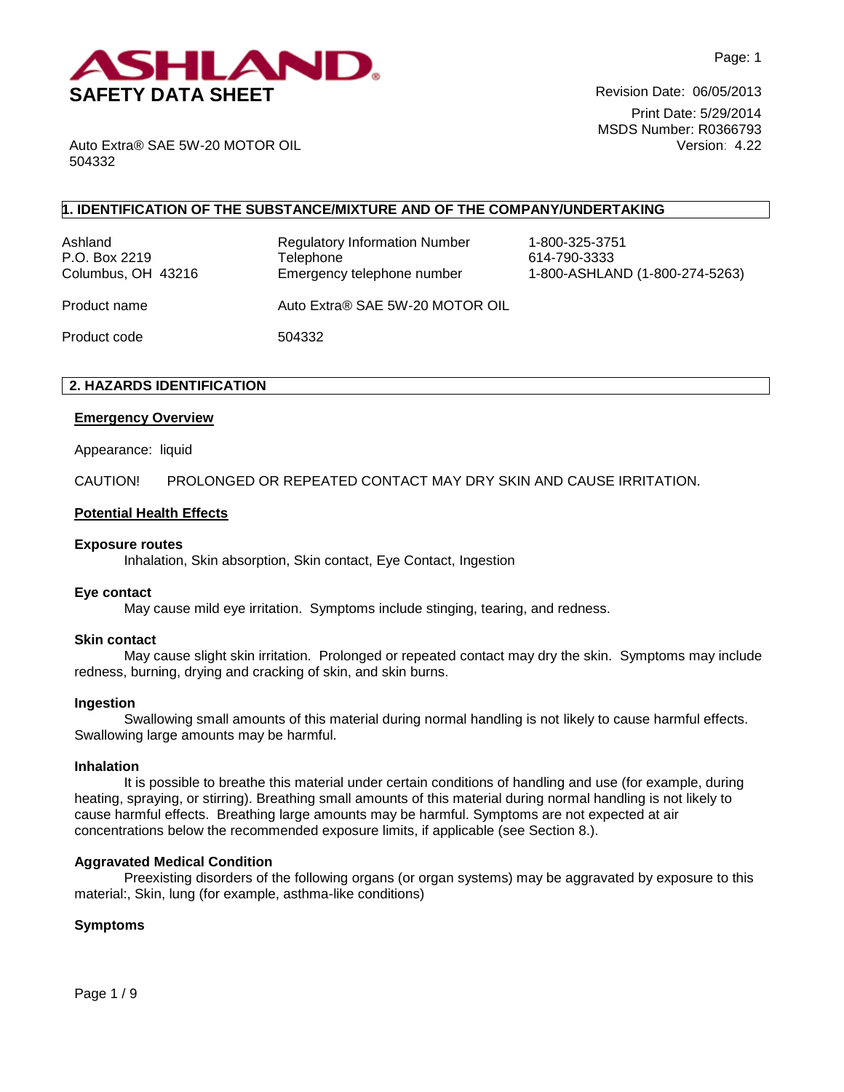

Print Date: 5/29/2014 MSDS Number: R0366793 Version: 4.22

Auto Extra® SAE 5W-20 MOTOR OIL 504332

# **1. IDENTIFICATION OF THE SUBSTANCE/MIXTURE AND OF THE COMPANY/UNDERTAKING**

Ashland Regulatory Information Number 1-800-325-3751 P.O. Box 2219 **Telephone** 614-790-3333

Columbus, OH 43216 Emergency telephone number 1-800-ASHLAND (1-800-274-5263)

Product name The Auto Extra® SAE 5W-20 MOTOR OIL

Product code 504332

# **2. HAZARDS IDENTIFICATION**

### **Emergency Overview**

Appearance:liquid

CAUTION! PROLONGED OR REPEATED CONTACT MAY DRY SKIN AND CAUSE IRRITATION.

### **Potential Health Effects**

#### **Exposure routes**

Inhalation, Skin absorption, Skin contact, Eye Contact, Ingestion

#### **Eye contact**

May cause mild eye irritation. Symptoms include stinging, tearing, and redness.

#### **Skin contact**

May cause slight skin irritation. Prolonged or repeated contact may dry the skin. Symptoms may include redness, burning, drying and cracking of skin, and skin burns.

#### **Ingestion**

Swallowing small amounts of this material during normal handling is not likely to cause harmful effects. Swallowing large amounts may be harmful.

#### **Inhalation**

It is possible to breathe this material under certain conditions of handling and use (for example, during heating, spraying, or stirring). Breathing small amounts of this material during normal handling is not likely to cause harmful effects. Breathing large amounts may be harmful. Symptoms are not expected at air concentrations below the recommended exposure limits, if applicable (see Section 8.).

## **Aggravated Medical Condition**

Preexisting disorders of the following organs (or organ systems) may be aggravated by exposure to this material:, Skin, lung (for example, asthma-like conditions)

## **Symptoms**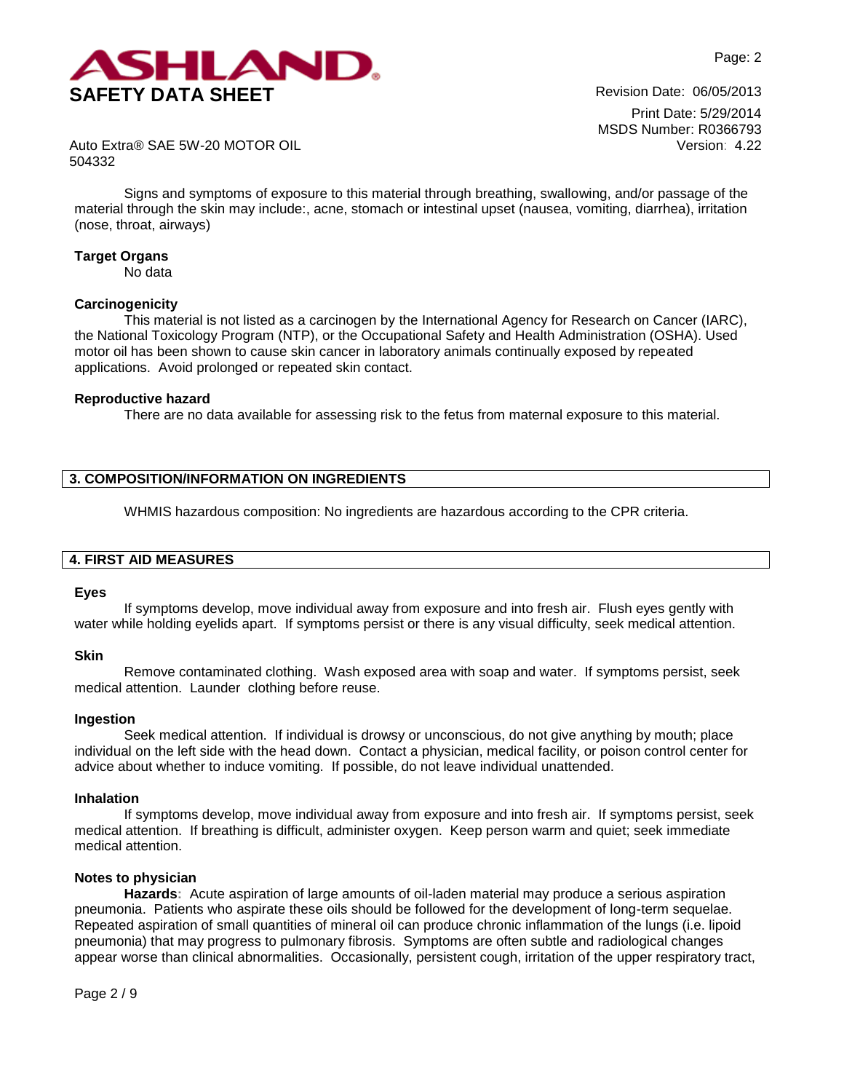

Print Date: 5/29/2014 MSDS Number: R0366793 Version: 4.22

Auto Extra® SAE 5W-20 MOTOR OIL 504332

Signs and symptoms of exposure to this material through breathing, swallowing, and/or passage of the material through the skin may include:, acne, stomach or intestinal upset (nausea, vomiting, diarrhea), irritation (nose, throat, airways)

### **Target Organs**

No data

### **Carcinogenicity**

This material is not listed as a carcinogen by the International Agency for Research on Cancer (IARC), the National Toxicology Program (NTP), or the Occupational Safety and Health Administration (OSHA). Used motor oil has been shown to cause skin cancer in laboratory animals continually exposed by repeated applications. Avoid prolonged or repeated skin contact.

#### **Reproductive hazard**

There are no data available for assessing risk to the fetus from maternal exposure to this material.

# **3. COMPOSITION/INFORMATION ON INGREDIENTS**

WHMIS hazardous composition: No ingredients are hazardous according to the CPR criteria.

#### **4. FIRST AID MEASURES**

#### **Eyes**

If symptoms develop, move individual away from exposure and into fresh air. Flush eyes gently with water while holding eyelids apart. If symptoms persist or there is any visual difficulty, seek medical attention.

#### **Skin**

Remove contaminated clothing. Wash exposed area with soap and water. If symptoms persist, seek medical attention. Launder clothing before reuse.

#### **Ingestion**

Seek medical attention. If individual is drowsy or unconscious, do not give anything by mouth; place individual on the left side with the head down. Contact a physician, medical facility, or poison control center for advice about whether to induce vomiting. If possible, do not leave individual unattended.

#### **Inhalation**

If symptoms develop, move individual away from exposure and into fresh air. If symptoms persist, seek medical attention. If breathing is difficult, administer oxygen. Keep person warm and quiet; seek immediate medical attention.

#### **Notes to physician**

**Hazards:** Acute aspiration of large amounts of oil-laden material may produce a serious aspiration pneumonia. Patients who aspirate these oils should be followed for the development of long-term sequelae. Repeated aspiration of small quantities of mineral oil can produce chronic inflammation of the lungs (i.e. lipoid pneumonia) that may progress to pulmonary fibrosis. Symptoms are often subtle and radiological changes appear worse than clinical abnormalities. Occasionally, persistent cough, irritation of the upper respiratory tract,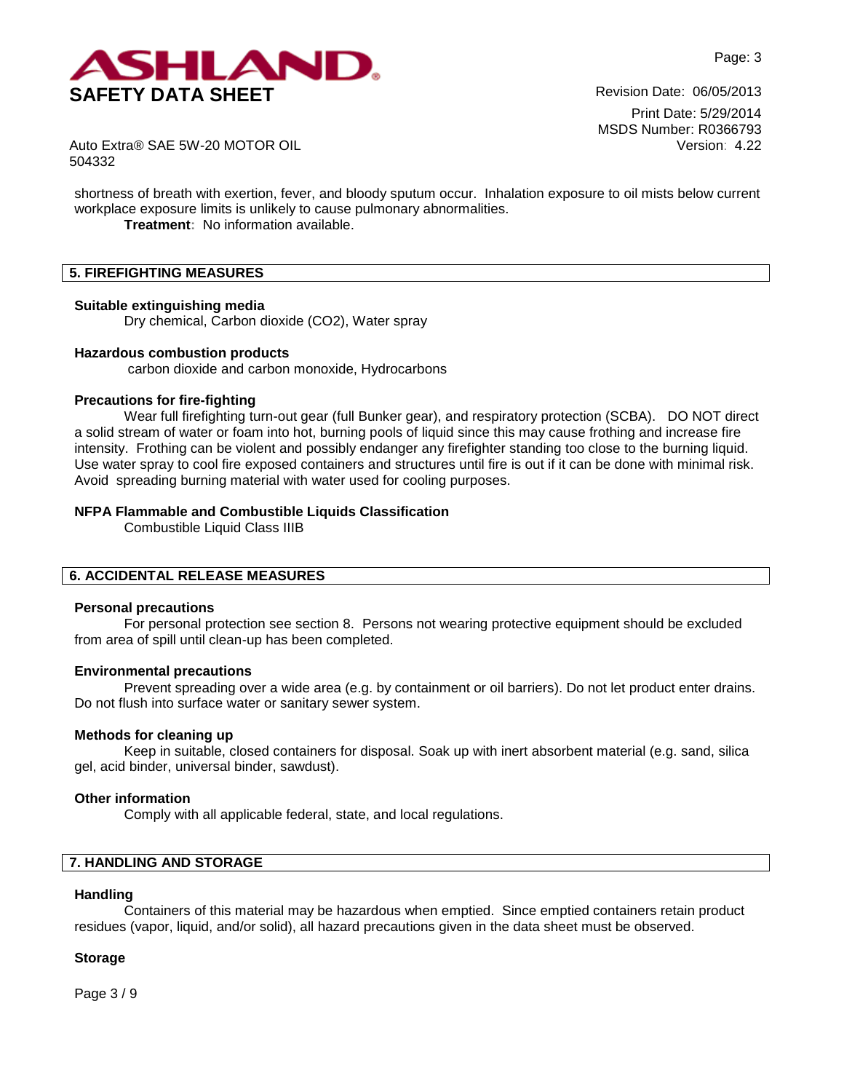

Print Date: 5/29/2014 MSDS Number: R0366793 Version: 4.22

Auto Extra® SAE 5W-20 MOTOR OIL 504332

shortness of breath with exertion, fever, and bloody sputum occur. Inhalation exposure to oil mists below current workplace exposure limits is unlikely to cause pulmonary abnormalities. **Treatment:** No information available.

# **5. FIREFIGHTING MEASURES**

### **Suitable extinguishing media**

Dry chemical, Carbon dioxide (CO2), Water spray

### **Hazardous combustion products**

carbon dioxide and carbon monoxide, Hydrocarbons

### **Precautions for fire-fighting**

Wear full firefighting turn-out gear (full Bunker gear), and respiratory protection (SCBA). DO NOT direct a solid stream of water or foam into hot, burning pools of liquid since this may cause frothing and increase fire intensity. Frothing can be violent and possibly endanger any firefighter standing too close to the burning liquid. Use water spray to cool fire exposed containers and structures until fire is out if it can be done with minimal risk. Avoid spreading burning material with water used for cooling purposes.

## **NFPA Flammable and Combustible Liquids Classification**

Combustible Liquid Class IIIB

# **6. ACCIDENTAL RELEASE MEASURES**

#### **Personal precautions**

For personal protection see section 8.Persons not wearing protective equipment should be excluded from area of spill until clean-up has been completed.

## **Environmental precautions**

Prevent spreading over a wide area (e.g. by containment or oil barriers). Do not let product enter drains. Do not flush into surface water or sanitary sewer system.

## **Methods for cleaning up**

Keep in suitable, closed containers for disposal. Soak up with inert absorbent material (e.g. sand, silica gel, acid binder, universal binder, sawdust).

## **Other information**

Comply with all applicable federal, state, and local regulations.

# **7. HANDLING AND STORAGE**

#### **Handling**

Containers of this material may be hazardous when emptied. Since emptied containers retain product residues (vapor, liquid, and/or solid), all hazard precautions given in the data sheet must be observed.

## **Storage**

Page 3 / 9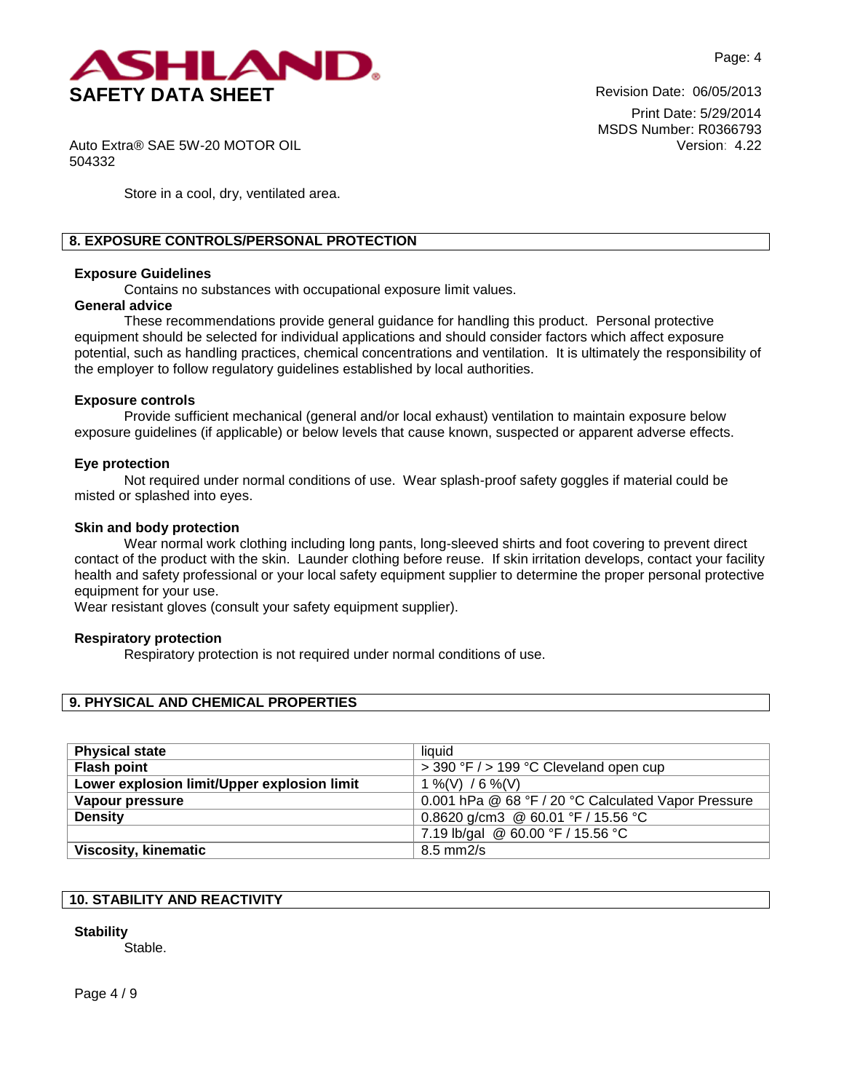

Print Date: 5/29/2014 MSDS Number: R0366793 Version: 4.22

Auto Extra® SAE 5W-20 MOTOR OIL 504332

Store in a cool, dry, ventilated area.

## **8. EXPOSURE CONTROLS/PERSONAL PROTECTION**

### **Exposure Guidelines**

Contains no substances with occupational exposure limit values.

# **General advice**

These recommendations provide general guidance for handling this product. Personal protective equipment should be selected for individual applications and should consider factors which affect exposure potential, such as handling practices, chemical concentrations and ventilation. It is ultimately the responsibility of the employer to follow regulatory guidelines established by local authorities.

### **Exposure controls**

Provide sufficient mechanical (general and/or local exhaust) ventilation to maintain exposure below exposure guidelines (if applicable) or below levels that cause known, suspected or apparent adverse effects.

## **Eye protection**

Not required under normal conditions of use. Wear splash-proof safety goggles if material could be misted or splashed into eyes.

### **Skin and body protection**

Wear normal work clothing including long pants, long-sleeved shirts and foot covering to prevent direct contact of the product with the skin. Launder clothing before reuse. If skin irritation develops, contact your facility health and safety professional or your local safety equipment supplier to determine the proper personal protective equipment for your use.

Wear resistant gloves (consult your safety equipment supplier).

## **Respiratory protection**

Respiratory protection is not required under normal conditions of use.

## **9. PHYSICAL AND CHEMICAL PROPERTIES**

| <b>Physical state</b>                       | liquid                                              |  |  |
|---------------------------------------------|-----------------------------------------------------|--|--|
| <b>Flash point</b>                          | > 390 °F / > 199 °C Cleveland open cup              |  |  |
| Lower explosion limit/Upper explosion limit | 1 %(V) / 6 %(V)                                     |  |  |
| Vapour pressure                             | 0.001 hPa @ 68 °F / 20 °C Calculated Vapor Pressure |  |  |
| <b>Density</b>                              | 0.8620 g/cm3 @ 60.01 °F / 15.56 °C                  |  |  |
|                                             | 7.19 lb/gal @ 60.00 °F / 15.56 °C                   |  |  |
| <b>Viscosity, kinematic</b>                 | $8.5$ mm $2/s$                                      |  |  |

# **10. STABILITY AND REACTIVITY**

## **Stability**

Stable.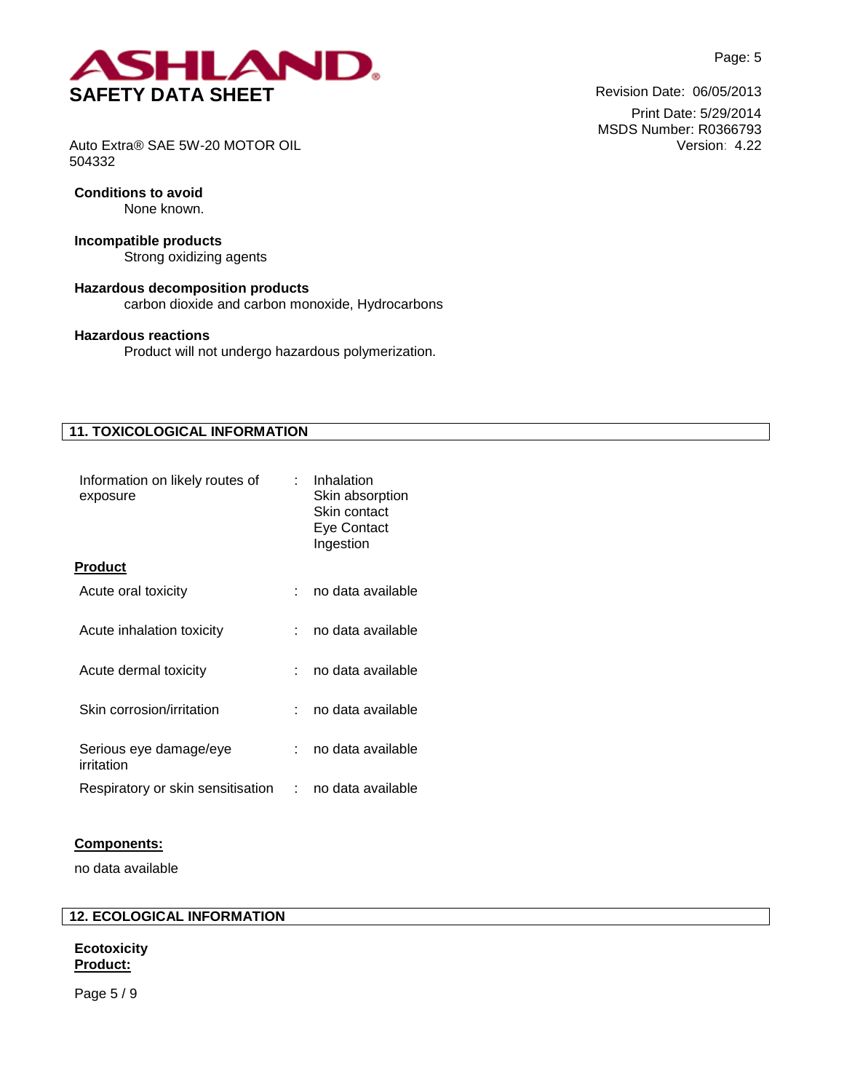

Print Date: 5/29/2014 MSDS Number: R0366793 Version: 4.22

Auto Extra® SAE 5W-20 MOTOR OIL 504332

# **Conditions to avoid**

None known.

# **Incompatible products**

Strong oxidizing agents

# **Hazardous decomposition products**

carbon dioxide and carbon monoxide, Hydrocarbons

# **Hazardous reactions**

Product will not undergo hazardous polymerization.

# **11. TOXICOLOGICAL INFORMATION**

| Information on likely routes of<br>exposure | $\sim$ | Inhalation<br>Skin absorption<br>Skin contact<br>Eye Contact<br>Ingestion |
|---------------------------------------------|--------|---------------------------------------------------------------------------|
| Product                                     |        |                                                                           |
| Acute oral toxicity                         |        | no data available                                                         |
| Acute inhalation toxicity                   |        | no data available                                                         |
| Acute dermal toxicity                       |        | no data available                                                         |
| Skin corrosion/irritation                   |        | no data available                                                         |
| Serious eye damage/eye<br>irritation        |        | no data available                                                         |
| Respiratory or skin sensitisation           | t.     | no data available                                                         |

## **Components:**

no data available

# **12. ECOLOGICAL INFORMATION**

# **Ecotoxicity Product:**

Page 5 / 9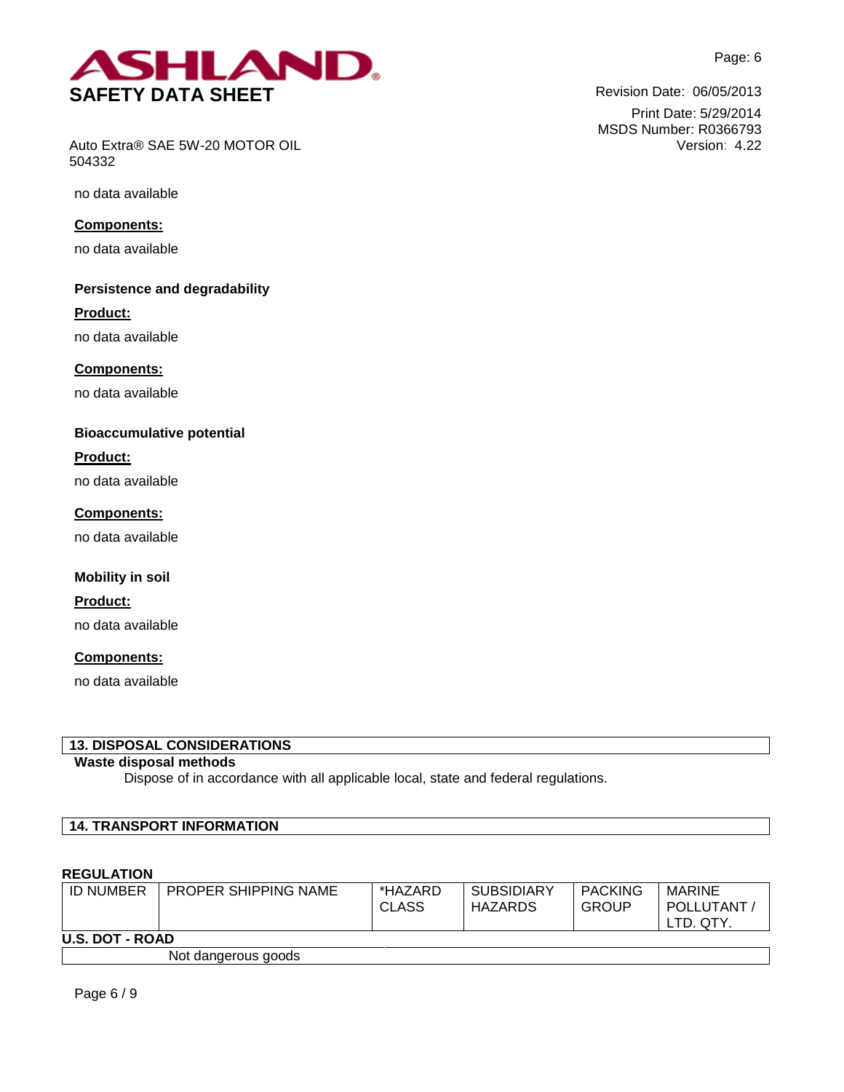

Print Date: 5/29/2014 MSDS Number: R0366793

Version: 4.22



Auto Extra® SAE 5W-20 MOTOR OIL 504332

no data available

**Components:**

no data available

# **Persistence and degradability**

**Product:**

no data available

**Components:**

no data available

# **Bioaccumulative potential**

**Product:**

no data available

**Components:** no data available

# **Mobility in soil**

**Product:**

no data available

# **Components:**

no data available

# **13. DISPOSAL CONSIDERATIONS**

# **Waste disposal methods**

Dispose of in accordance with all applicable local, state and federal regulations.

## **14. TRANSPORT INFORMATION**

## **REGULATION**

| <b>ID NUMBER</b>       | PROPER SHIPPING NAME | *HAZARD<br>CLASS | <b>SUBSIDIARY</b><br>HAZARDS | <b>PACKING</b><br><b>GROUP</b> | MARINE<br>POLLUTANT<br>LTD. QTY. |  |
|------------------------|----------------------|------------------|------------------------------|--------------------------------|----------------------------------|--|
| <b>U.S. DOT - ROAD</b> |                      |                  |                              |                                |                                  |  |
|                        | Not dangerous goods  |                  |                              |                                |                                  |  |

Not dangerous goods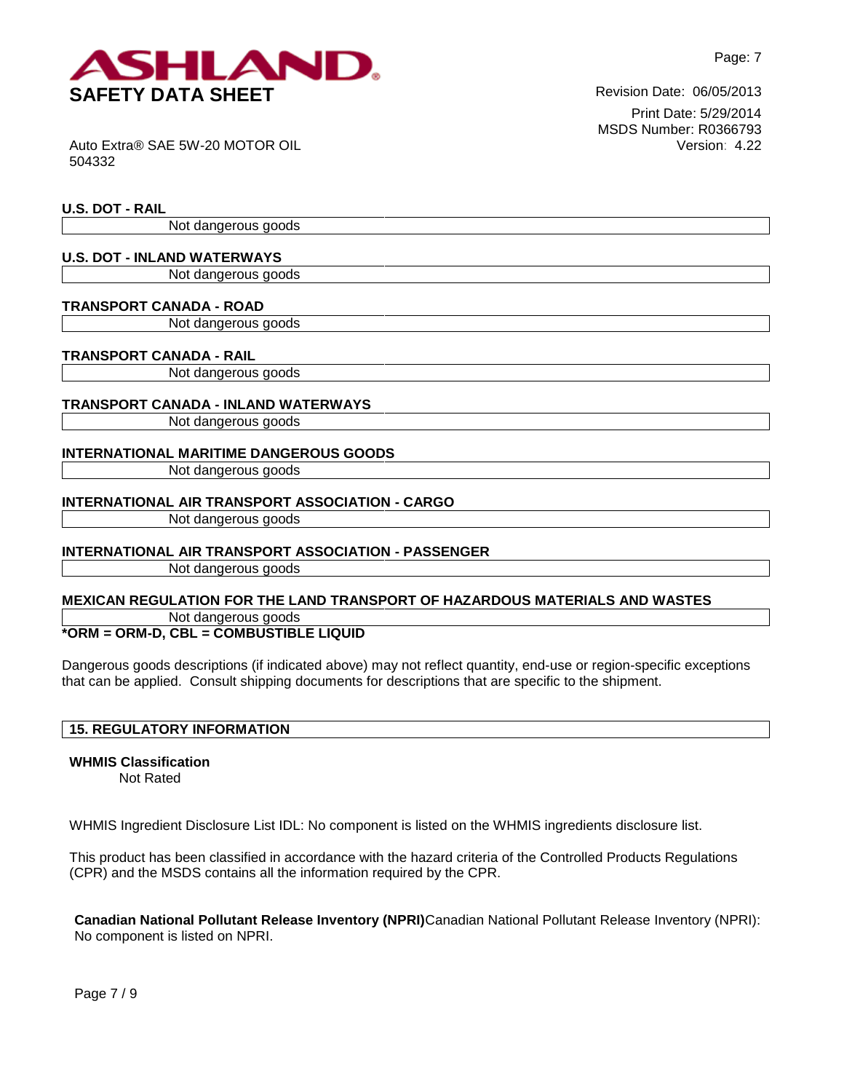

Print Date: 5/29/2014 MSDS Number: R0366793 Version: 4.22

Auto Extra® SAE 5W-20 MOTOR OIL 504332

## **U.S. DOT - RAIL**

Not dangerous goods

## **U.S. DOT - INLAND WATERWAYS**

Not dangerous goods

## **TRANSPORT CANADA - ROAD**

Not dangerous goods

# **TRANSPORT CANADA - RAIL**

Not dangerous goods

# **TRANSPORT CANADA - INLAND WATERWAYS**

Not dangerous goods

# **INTERNATIONAL MARITIME DANGEROUS GOODS**

Not dangerous goods

# **INTERNATIONAL AIR TRANSPORT ASSOCIATION - CARGO**

Not dangerous goods

# **INTERNATIONAL AIR TRANSPORT ASSOCIATION - PASSENGER**

Not dangerous goods

## **MEXICAN REGULATION FOR THE LAND TRANSPORT OF HAZARDOUS MATERIALS AND WASTES**

Not dangerous goods

# **\*ORM = ORM-D, CBL = COMBUSTIBLE LIQUID**

Dangerous goods descriptions (if indicated above) may not reflect quantity, end-use or region-specific exceptions that can be applied. Consult shipping documents for descriptions that are specific to the shipment.

# **15. REGULATORY INFORMATION**

# **WHMIS Classification**

Not Rated

WHMIS Ingredient Disclosure List IDL: No component is listed on the WHMIS ingredients disclosure list.

This product has been classified in accordance with the hazard criteria of the Controlled Products Regulations (CPR) and the MSDS contains all the information required by the CPR.

**Canadian National Pollutant Release Inventory (NPRI)**Canadian National Pollutant Release Inventory (NPRI): No component is listed on NPRI.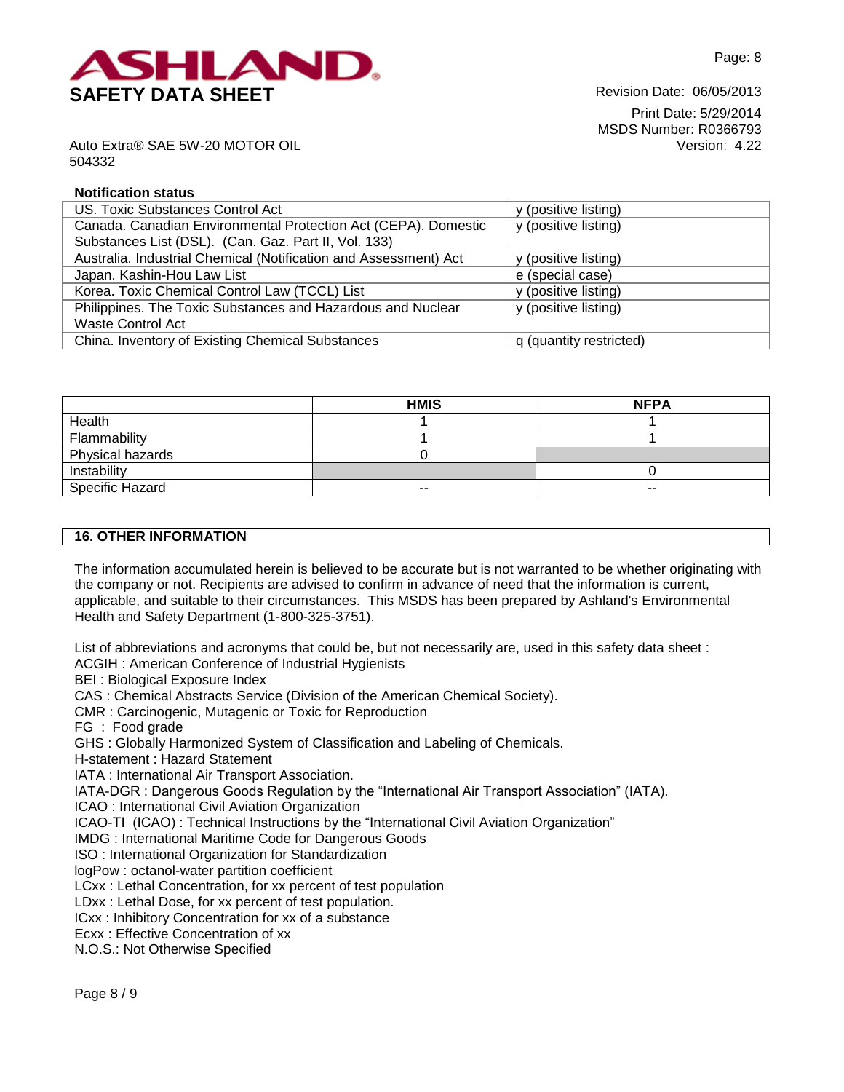

Print Date: 5/29/2014 MSDS Number: R0366793 Version: 4.22

Auto Extra® SAE 5W-20 MOTOR OIL 504332

## **Notification status**

| US. Toxic Substances Control Act                                 | y (positive listing)    |
|------------------------------------------------------------------|-------------------------|
| Canada. Canadian Environmental Protection Act (CEPA). Domestic   | y (positive listing)    |
| Substances List (DSL). (Can. Gaz. Part II, Vol. 133)             |                         |
| Australia. Industrial Chemical (Notification and Assessment) Act | y (positive listing)    |
| Japan. Kashin-Hou Law List                                       | e (special case)        |
| Korea. Toxic Chemical Control Law (TCCL) List                    | y (positive listing)    |
| Philippines. The Toxic Substances and Hazardous and Nuclear      | y (positive listing)    |
| Waste Control Act                                                |                         |
| China. Inventory of Existing Chemical Substances                 | q (quantity restricted) |

|                  | <b>HMIS</b>              | <b>NFPA</b> |
|------------------|--------------------------|-------------|
| Health           |                          |             |
| Flammability     |                          |             |
| Physical hazards |                          |             |
| Instability      |                          |             |
| Specific Hazard  | $\overline{\phantom{m}}$ | $- -$       |

## **16. OTHER INFORMATION**

The information accumulated herein is believed to be accurate but is not warranted to be whether originating with the company or not. Recipients are advised to confirm in advance of need that the information is current, applicable, and suitable to their circumstances. This MSDS has been prepared by Ashland's Environmental Health and Safety Department (1-800-325-3751).

List of abbreviations and acronyms that could be, but not necessarily are, used in this safety data sheet : ACGIH : American Conference of Industrial Hygienists

BEI : Biological Exposure Index

CAS : Chemical Abstracts Service (Division of the American Chemical Society).

CMR : Carcinogenic, Mutagenic or Toxic for Reproduction

FG : Food grade

GHS : Globally Harmonized System of Classification and Labeling of Chemicals.

H-statement : Hazard Statement

IATA : International Air Transport Association.

IATA-DGR : Dangerous Goods Regulation by the "International Air Transport Association" (IATA).

ICAO : International Civil Aviation Organization

ICAO-TI (ICAO) : Technical Instructions by the "International Civil Aviation Organization"

IMDG : International Maritime Code for Dangerous Goods

ISO : International Organization for Standardization

logPow : octanol-water partition coefficient

LCxx : Lethal Concentration, for xx percent of test population

LDxx : Lethal Dose, for xx percent of test population.

ICxx : Inhibitory Concentration for xx of a substance

Ecxx : Effective Concentration of xx

N.O.S.: Not Otherwise Specified

Page 8 / 9